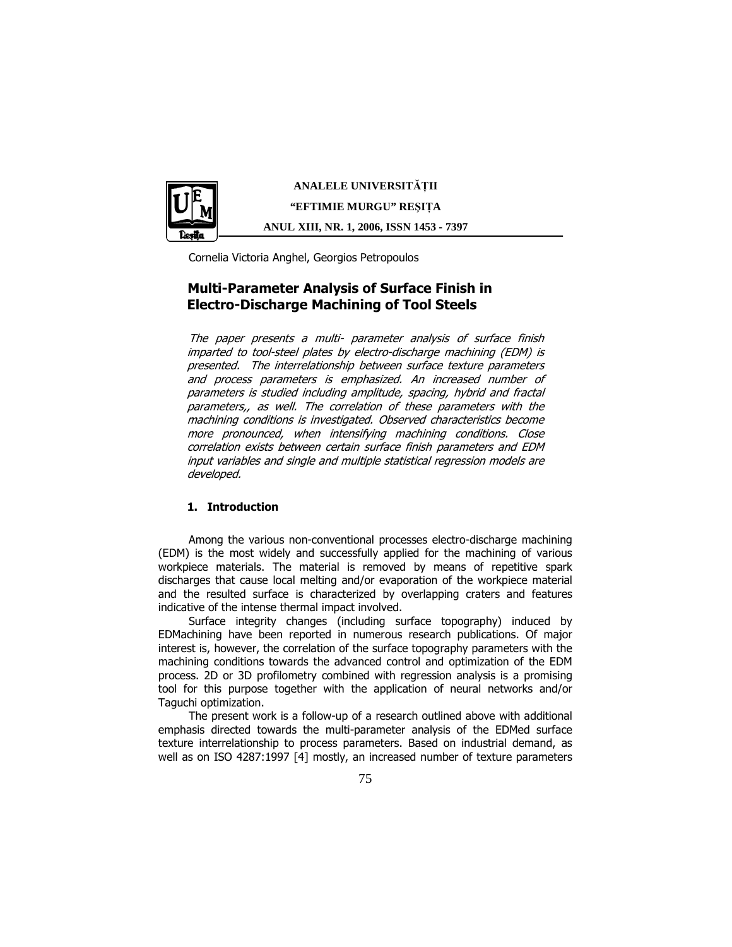

**ANALELE UNIVERSIT**Ăł**II "EFTIMIE MURGU" RE**Ş**I**ł**A ANUL XIII, NR. 1, 2006, ISSN 1453 - 7397** 

Cornelia Victoria Anghel, Georgios Petropoulos

# Multi-Parameter Analysis of Surface Finish in Electro-Discharge Machining of Tool Steels

The paper presents a multi- parameter analysis of surface finish imparted to tool-steel plates by electro-discharge machining (EDM) is presented. The interrelationship between surface texture parameters and process parameters is emphasized. An increased number of parameters is studied including amplitude, spacing, hybrid and fractal parameters,, as well. The correlation of these parameters with the machining conditions is investigated. Observed characteristics become more pronounced, when intensifying machining conditions. Close correlation exists between certain surface finish parameters and EDM input variables and single and multiple statistical regression models are developed.

# 1. Introduction

Among the various non-conventional processes electro-discharge machining (EDM) is the most widely and successfully applied for the machining of various workpiece materials. The material is removed by means of repetitive spark discharges that cause local melting and/or evaporation of the workpiece material and the resulted surface is characterized by overlapping craters and features indicative of the intense thermal impact involved.

Surface integrity changes (including surface topography) induced by EDMachining have been reported in numerous research publications. Of major interest is, however, the correlation of the surface topography parameters with the machining conditions towards the advanced control and optimization of the EDM process. 2D or 3D profilometry combined with regression analysis is a promising tool for this purpose together with the application of neural networks and/or Taguchi optimization.

The present work is a follow-up of a research outlined above with additional emphasis directed towards the multi-parameter analysis of the EDMed surface texture interrelationship to process parameters. Based on industrial demand, as well as on ISO 4287:1997 [4] mostly, an increased number of texture parameters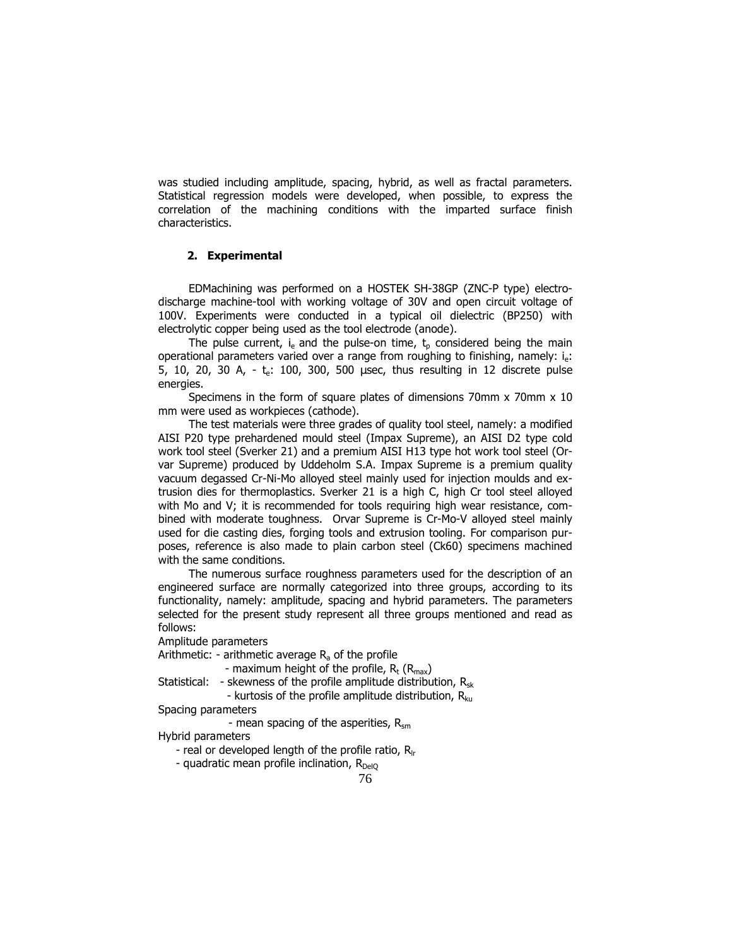was studied including amplitude, spacing, hybrid, as well as fractal parameters. Statistical regression models were developed, when possible, to express the correlation of the machining conditions with the imparted surface finish characteristics.

# 2. Experimental

EDMachining was performed on a HOSTEK SH-38GP (ZNC-P type) electrodischarge machine-tool with working voltage of 30V and open circuit voltage of 100V. Experiments were conducted in a typical oil dielectric (BP250) with electrolytic copper being used as the tool electrode (anode).

The pulse current,  $i_e$  and the pulse-on time,  $t_p$  considered being the main operational parameters varied over a range from roughing to finishing, namely:  $i_e$ : 5, 10, 20, 30 A,  $-$  te: 100, 300, 500 usec, thus resulting in 12 discrete pulse energies.

Specimens in the form of square plates of dimensions 70mm x 70mm x 10 mm were used as workpieces (cathode).

The test materials were three grades of quality tool steel, namely: a modified AISI P20 type prehardened mould steel (Impax Supreme), an AISI D2 type cold work tool steel (Sverker 21) and a premium AISI H13 type hot work tool steel (Orvar Supreme) produced by Uddeholm S.A. Impax Supreme is a premium quality vacuum degassed Cr-Ni-Mo alloyed steel mainly used for injection moulds and extrusion dies for thermoplastics. Sverker 21 is a high C, high Cr tool steel alloyed with Mo and V; it is recommended for tools requiring high wear resistance, combined with moderate toughness. Orvar Supreme is Cr-Mo-V alloyed steel mainly used for die casting dies, forging tools and extrusion tooling. For comparison purposes, reference is also made to plain carbon steel (Ck60) specimens machined with the same conditions.

The numerous surface roughness parameters used for the description of an engineered surface are normally categorized into three groups, according to its functionality, namely: amplitude, spacing and hybrid parameters. The parameters selected for the present study represent all three groups mentioned and read as follows:

Amplitude parameters

Arithmetic: - arithmetic average  $R_a$  of the profile

- maximum height of the profile,  $R_t$  ( $R_{\text{max}}$ )

Statistical: - skewness of the profile amplitude distribution,  $R_{sk}$ - kurtosis of the profile amplitude distribution,  $R_{k_{II}}$ 

Spacing parameters

- mean spacing of the asperities,  $R_{\text{sm}}$ 

Hybrid parameters

- real or developed length of the profile ratio,  $R_{\text{lr}}$ 

- quadratic mean profile inclination,  $R_{De|O}$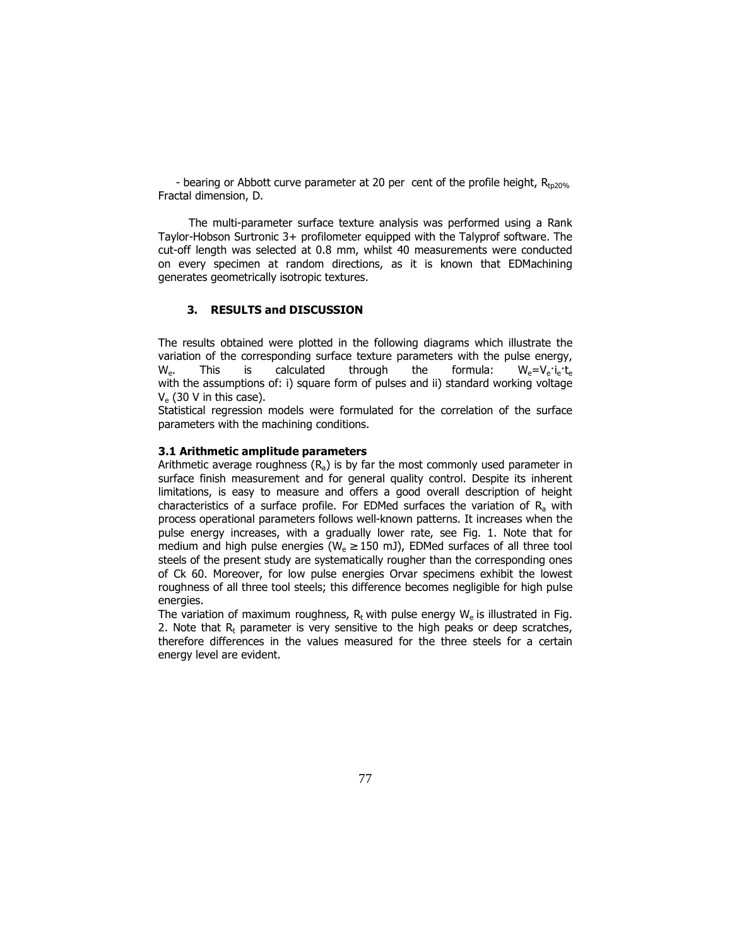- bearing or Abbott curve parameter at 20 per cent of the profile height,  $R_{to20\%}$ Fractal dimension, D.

The multi-parameter surface texture analysis was performed using a Rank Taylor-Hobson Surtronic 3+ profilometer equipped with the Talyprof software. The cut-off length was selected at 0.8 mm, whilst 40 measurements were conducted on every specimen at random directions, as it is known that EDMachining generates geometrically isotropic textures.

# 3. RESULTS and DISCUSSION

The results obtained were plotted in the following diagrams which illustrate the variation of the corresponding surface texture parameters with the pulse energy,  $W_e$ . This is calculated through the formula:  $W_e=V_e$  $i_e$ with the assumptions of: i) square form of pulses and ii) standard working voltage  $V_e$  (30 V in this case).

Statistical regression models were formulated for the correlation of the surface parameters with the machining conditions.

#### 3.1 Arithmetic amplitude parameters

Arithmetic average roughness  $(R_a)$  is by far the most commonly used parameter in surface finish measurement and for general quality control. Despite its inherent limitations, is easy to measure and offers a good overall description of height characteristics of a surface profile. For EDMed surfaces the variation of  $R<sub>a</sub>$  with process operational parameters follows well-known patterns. It increases when the pulse energy increases, with a gradually lower rate, see Fig. 1. Note that for medium and high pulse energies ( $W_e \ge 150$  mJ), EDMed surfaces of all three tool steels of the present study are systematically rougher than the corresponding ones of Ck 60. Moreover, for low pulse energies Orvar specimens exhibit the lowest roughness of all three tool steels; this difference becomes negligible for high pulse energies.

The variation of maximum roughness,  $R_t$  with pulse energy  $W_e$  is illustrated in Fig. 2. Note that  $R<sub>r</sub>$  parameter is very sensitive to the high peaks or deep scratches, therefore differences in the values measured for the three steels for a certain energy level are evident.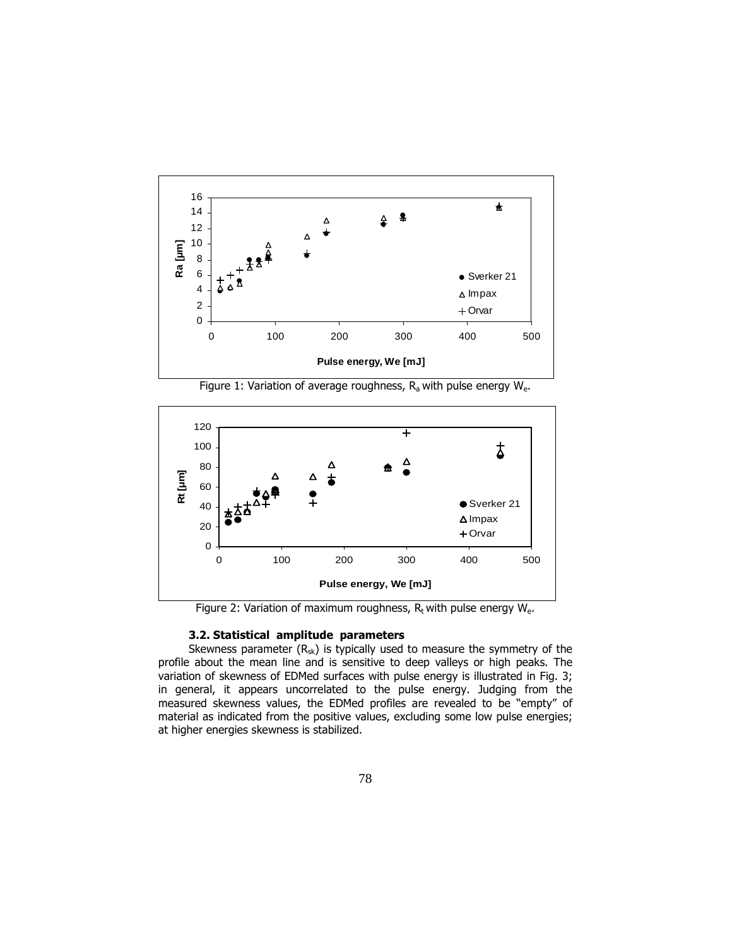

Figure 1: Variation of average roughness,  $R_a$  with pulse energy  $W_e$ .



Figure 2: Variation of maximum roughness,  $R_t$  with pulse energy  $W_{e}$ .

### 3.2. Statistical amplitude parameters

Skewness parameter  $(R_{sk})$  is typically used to measure the symmetry of the profile about the mean line and is sensitive to deep valleys or high peaks. The variation of skewness of EDMed surfaces with pulse energy is illustrated in Fig. 3; in general, it appears uncorrelated to the pulse energy. Judging from the measured skewness values, the EDMed profiles are revealed to be "empty" of material as indicated from the positive values, excluding some low pulse energies; at higher energies skewness is stabilized.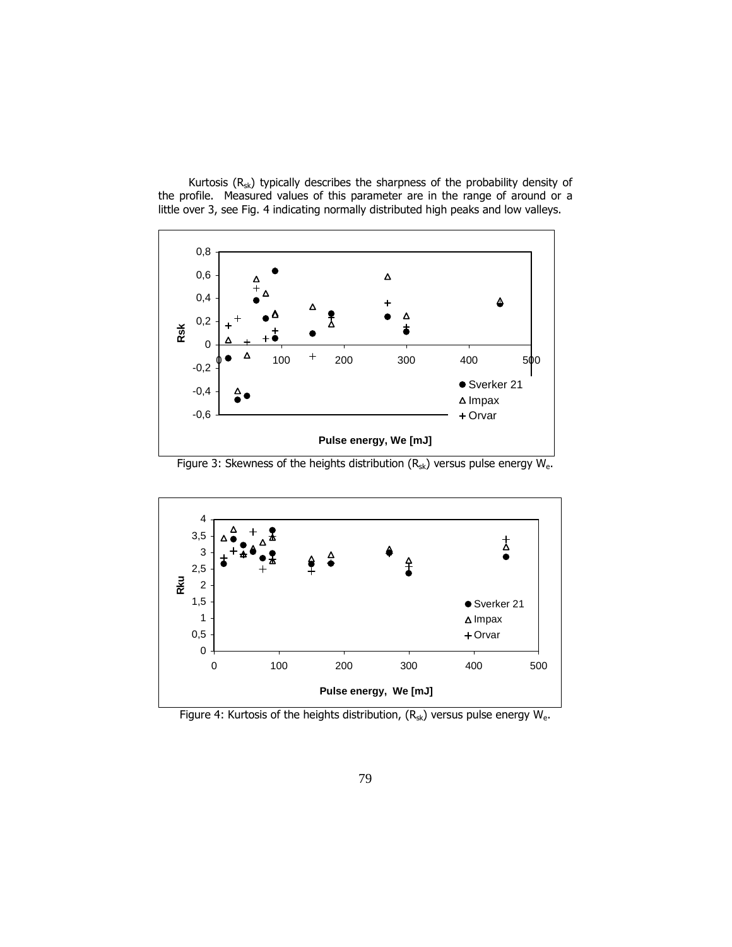Kurtosis  $(R_{sk})$  typically describes the sharpness of the probability density of the profile. Measured values of this parameter are in the range of around or a little over 3, see Fig. 4 indicating normally distributed high peaks and low valleys.



Figure 3: Skewness of the heights distribution  $(R_{sk})$  versus pulse energy  $W_{e}$ .



Figure 4: Kurtosis of the heights distribution,  $(R_{sk})$  versus pulse energy  $W_{e}$ .